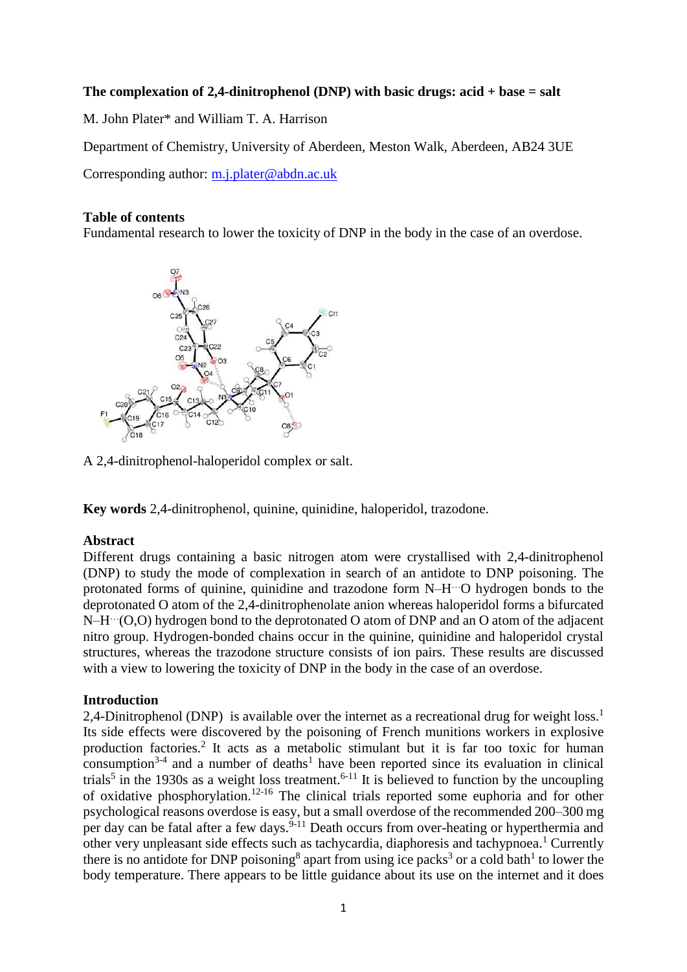## **The complexation of 2,4-dinitrophenol (DNP) with basic drugs: acid + base = salt**

M. John Plater\* and William T. A. Harrison

Department of Chemistry, University of Aberdeen, Meston Walk, Aberdeen, AB24 3UE

Corresponding author: [m.j.plater@abdn.ac.uk](mailto:m.j.plater@abdn.ac.uk)

## **Table of contents**

Fundamental research to lower the toxicity of DNP in the body in the case of an overdose.



A 2,4-dinitrophenol-haloperidol complex or salt.

**Key words** 2,4-dinitrophenol, quinine, quinidine, haloperidol, trazodone.

# **Abstract**

Different drugs containing a basic nitrogen atom were crystallised with 2,4-dinitrophenol (DNP) to study the mode of complexation in search of an antidote to DNP poisoning. The protonated forms of quinine, quinidine and trazodone form N-H<sup>---</sup>O hydrogen bonds to the deprotonated O atom of the 2,4-dinitrophenolate anion whereas haloperidol forms a bifurcated N-H<sup> $\cdots$ </sup>(O,O) hydrogen bond to the deprotonated O atom of DNP and an O atom of the adjacent nitro group. Hydrogen-bonded chains occur in the quinine, quinidine and haloperidol crystal structures, whereas the trazodone structure consists of ion pairs. These results are discussed with a view to lowering the toxicity of DNP in the body in the case of an overdose.

# **Introduction**

2,4-Dinitrophenol (DNP) is available over the internet as a recreational drug for weight loss.<sup>1</sup> Its side effects were discovered by the poisoning of French munitions workers in explosive production factories.<sup>2</sup> It acts as a metabolic stimulant but it is far too toxic for human consumption<sup>3-4</sup> and a number of deaths<sup>1</sup> have been reported since its evaluation in clinical trials<sup>5</sup> in the 1930s as a weight loss treatment.<sup>6-11</sup> It is believed to function by the uncoupling of oxidative phosphorylation.12-16 The clinical trials reported some euphoria and for other psychological reasons overdose is easy, but a small overdose of the recommended 200–300 mg per day can be fatal after a few days.<sup>9-11</sup> Death occurs from over-heating or hyperthermia and other very unpleasant side effects such as tachycardia, diaphoresis and tachypnoea.<sup>1</sup> Currently there is no antidote for DNP poisoning<sup>8</sup> apart from using ice packs<sup>3</sup> or a cold bath<sup>1</sup> to lower the body temperature. There appears to be little guidance about its use on the internet and it does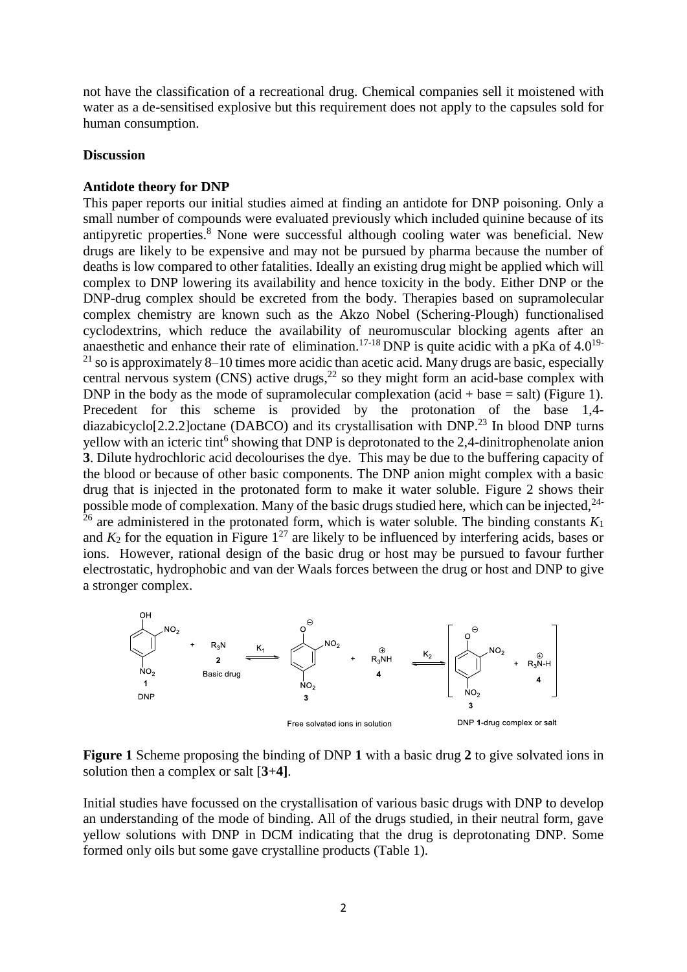not have the classification of a recreational drug. Chemical companies sell it moistened with water as a de-sensitised explosive but this requirement does not apply to the capsules sold for human consumption.

#### **Discussion**

### **Antidote theory for DNP**

This paper reports our initial studies aimed at finding an antidote for DNP poisoning. Only a small number of compounds were evaluated previously which included quinine because of its antipyretic properties.<sup>8</sup> None were successful although cooling water was beneficial. New drugs are likely to be expensive and may not be pursued by pharma because the number of deaths is low compared to other fatalities. Ideally an existing drug might be applied which will complex to DNP lowering its availability and hence toxicity in the body. Either DNP or the DNP-drug complex should be excreted from the body. Therapies based on supramolecular complex chemistry are known such as the Akzo Nobel (Schering-Plough) functionalised cyclodextrins, which reduce the availability of neuromuscular blocking agents after an anaesthetic and enhance their rate of elimination.<sup>17-18</sup> DNP is quite acidic with a pKa of  $4.0^{19}$ <sup>21</sup> so is approximately 8–10 times more acidic than acetic acid. Many drugs are basic, especially central nervous system (CNS) active drugs, $^{22}$  so they might form an acid-base complex with DNP in the body as the mode of supramolecular complexation  $(\text{acid} + \text{base} = \text{salt})$  (Figure 1). Precedent for this scheme is provided by the protonation of the base 1,4 diazabicyclo<sup>[2.2.2]</sup>octane (DABCO) and its crystallisation with DNP.<sup>23</sup> In blood DNP turns yellow with an icteric tint<sup>6</sup> showing that DNP is deprotonated to the 2,4-dinitrophenolate anion **3**. Dilute hydrochloric acid decolourises the dye. This may be due to the buffering capacity of the blood or because of other basic components. The DNP anion might complex with a basic drug that is injected in the protonated form to make it water soluble. Figure 2 shows their possible mode of complexation. Many of the basic drugs studied here, which can be injected,<sup>24-</sup> <sup>26</sup> are administered in the protonated form, which is water soluble. The binding constants  $K_1$ and  $K_2$  for the equation in Figure  $1^{27}$  are likely to be influenced by interfering acids, bases or ions. However, rational design of the basic drug or host may be pursued to favour further electrostatic, hydrophobic and van der Waals forces between the drug or host and DNP to give a stronger complex.



**Figure 1** Scheme proposing the binding of DNP **1** with a basic drug **2** to give solvated ions in solution then a complex or salt [**3**+**4]**.

Initial studies have focussed on the crystallisation of various basic drugs with DNP to develop an understanding of the mode of binding. All of the drugs studied, in their neutral form, gave yellow solutions with DNP in DCM indicating that the drug is deprotonating DNP. Some formed only oils but some gave crystalline products (Table 1).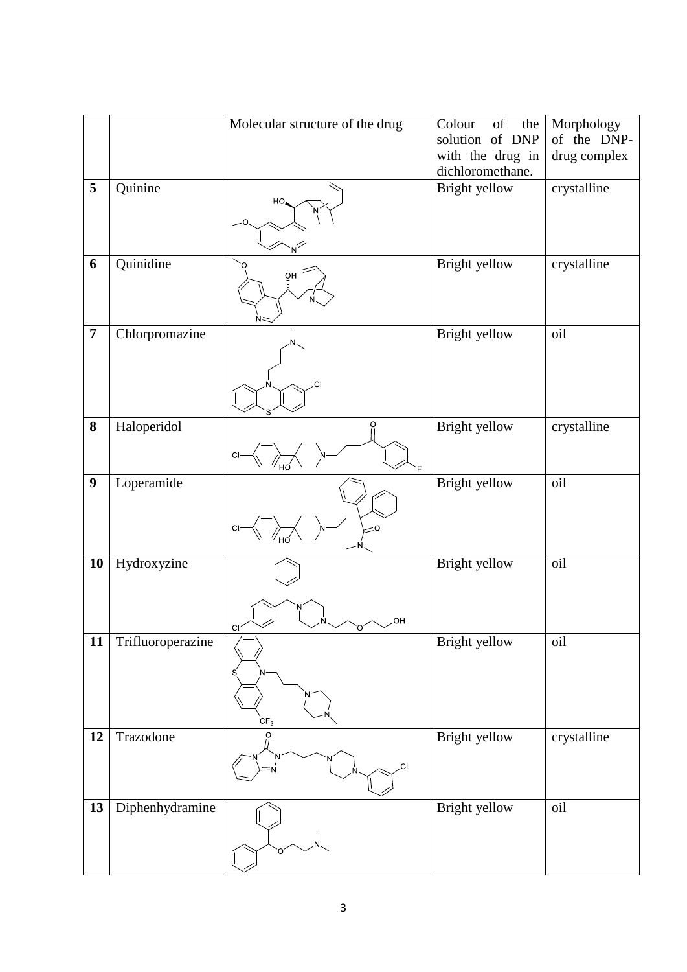|                  |                   | Molecular structure of the drug | of<br>Colour<br>the                  | Morphology   |
|------------------|-------------------|---------------------------------|--------------------------------------|--------------|
|                  |                   |                                 | solution of DNP                      | of the DNP-  |
|                  |                   |                                 | with the drug in<br>dichloromethane. | drug complex |
| 5                | Quinine           |                                 | Bright yellow                        | crystalline  |
|                  |                   | HO,                             |                                      |              |
|                  |                   |                                 |                                      |              |
|                  |                   |                                 |                                      |              |
| 6                | Quinidine         |                                 | Bright yellow                        | crystalline  |
|                  |                   | òΗ                              |                                      |              |
|                  |                   |                                 |                                      |              |
|                  |                   |                                 |                                      |              |
| $\overline{7}$   | Chlorpromazine    |                                 | Bright yellow                        | oil          |
|                  |                   |                                 |                                      |              |
|                  |                   |                                 |                                      |              |
|                  |                   | СI                              |                                      |              |
|                  |                   |                                 |                                      |              |
| 8                | Haloperidol       | O                               | Bright yellow                        | crystalline  |
|                  |                   |                                 |                                      |              |
|                  |                   | CI                              |                                      |              |
| $\boldsymbol{9}$ | Loperamide        |                                 | Bright yellow                        | oil          |
|                  |                   |                                 |                                      |              |
|                  |                   |                                 |                                      |              |
|                  |                   | ΞΟ<br>СI                        |                                      |              |
| 10               | Hydroxyzine       |                                 | Bright yellow                        | oil          |
|                  |                   |                                 |                                      |              |
|                  |                   |                                 |                                      |              |
|                  |                   | ОН                              |                                      |              |
| 11               | Trifluoroperazine | С                               | Bright yellow                        | oil          |
|                  |                   |                                 |                                      |              |
|                  |                   |                                 |                                      |              |
|                  |                   |                                 |                                      |              |
|                  |                   |                                 |                                      |              |
| 12               | Trazodone         | $CF_{3}$<br>$\Omega$            | Bright yellow                        | crystalline  |
|                  |                   |                                 |                                      |              |
|                  |                   | .CI                             |                                      |              |
|                  |                   |                                 |                                      |              |
| 13               | Diphenhydramine   |                                 | Bright yellow                        | oil          |
|                  |                   |                                 |                                      |              |
|                  |                   | Ō                               |                                      |              |
|                  |                   |                                 |                                      |              |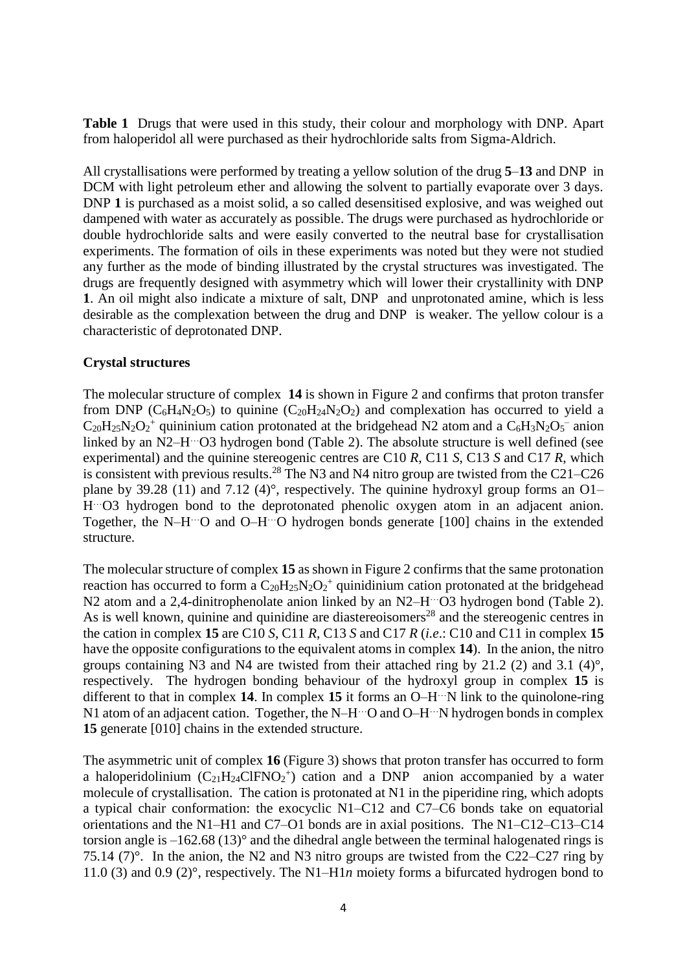**Table 1** Drugs that were used in this study, their colour and morphology with DNP. Apart from haloperidol all were purchased as their hydrochloride salts from Sigma-Aldrich.

All crystallisations were performed by treating a yellow solution of the drug **5**–**13** and DNP in DCM with light petroleum ether and allowing the solvent to partially evaporate over 3 days. DNP 1 is purchased as a moist solid, a so called desensitised explosive, and was weighed out dampened with water as accurately as possible. The drugs were purchased as hydrochloride or double hydrochloride salts and were easily converted to the neutral base for crystallisation experiments. The formation of oils in these experiments was noted but they were not studied any further as the mode of binding illustrated by the crystal structures was investigated. The drugs are frequently designed with asymmetry which will lower their crystallinity with DNP **1**. An oil might also indicate a mixture of salt, DNP and unprotonated amine, which is less desirable as the complexation between the drug and DNP is weaker. The yellow colour is a characteristic of deprotonated DNP.

### **Crystal structures**

The molecular structure of complex **14** is shown in Figure 2 and confirms that proton transfer from DNP ( $C_6H_4N_2O_5$ ) to quinine ( $C_{20}H_{24}N_2O_2$ ) and complexation has occurred to yield a  $C_{20}H_{25}N_2O_2$ <sup>+</sup> quininium cation protonated at the bridgehead N2 atom and a  $C_6H_3N_2O_5$ <sup>-</sup> anion linked by an N2-H<sup>...</sup>O3 hydrogen bond (Table 2). The absolute structure is well defined (see experimental) and the quinine stereogenic centres are C10 *R*, C11 *S*, C13 *S* and C17 *R*, which is consistent with previous results.<sup>28</sup> The N3 and N4 nitro group are twisted from the C21–C26 plane by 39.28 (11) and 7.12 (4)°, respectively. The quinine hydroxyl group forms an  $O1-$ H …O3 hydrogen bond to the deprotonated phenolic oxygen atom in an adjacent anion. Together, the N–H …O and O–H …O hydrogen bonds generate [100] chains in the extended structure.

The molecular structure of complex **15** as shown in Figure 2 confirms that the same protonation reaction has occurred to form a  $C_{20}H_{25}N_2O_2$ <sup>+</sup> quinidinium cation protonated at the bridgehead N2 atom and a 2,4-dinitrophenolate anion linked by an N2–H<sup>--</sup>O3 hydrogen bond (Table 2). As is well known, quinine and quinidine are diastereoisomers<sup>28</sup> and the stereogenic centres in the cation in complex **15** are C10 *S*, C11 *R*, C13 *S* and C17 *R* (*i.e*.: C10 and C11 in complex **15** have the opposite configurations to the equivalent atoms in complex **14**). In the anion, the nitro groups containing N3 and N4 are twisted from their attached ring by 21.2 (2) and 3.1 (4) $^{\circ}$ , respectively. The hydrogen bonding behaviour of the hydroxyl group in complex **15** is different to that in complex **14**. In complex **15** it forms an O–H …N link to the quinolone-ring N1 atom of an adjacent cation. Together, the N-H<sup>---</sup>O and O-H<sup>---</sup>N hydrogen bonds in complex **15** generate [010] chains in the extended structure.

The asymmetric unit of complex **16** (Figure 3) shows that proton transfer has occurred to form a haloperidolinium  $(C_{21}H_{24}CIFNO<sub>2</sub><sup>+</sup>)$  cation and a DNP anion accompanied by a water molecule of crystallisation. The cation is protonated at N1 in the piperidine ring, which adopts a typical chair conformation: the exocyclic N1–C12 and C7–C6 bonds take on equatorial orientations and the N1–H1 and C7–O1 bonds are in axial positions. The N1–C12–C13–C14 torsion angle is  $-162.68(13)^\circ$  and the dihedral angle between the terminal halogenated rings is 75.14 (7)°. In the anion, the N2 and N3 nitro groups are twisted from the C22–C27 ring by 11.0 (3) and 0.9 (2)°, respectively. The N1–H1*n* moiety forms a bifurcated hydrogen bond to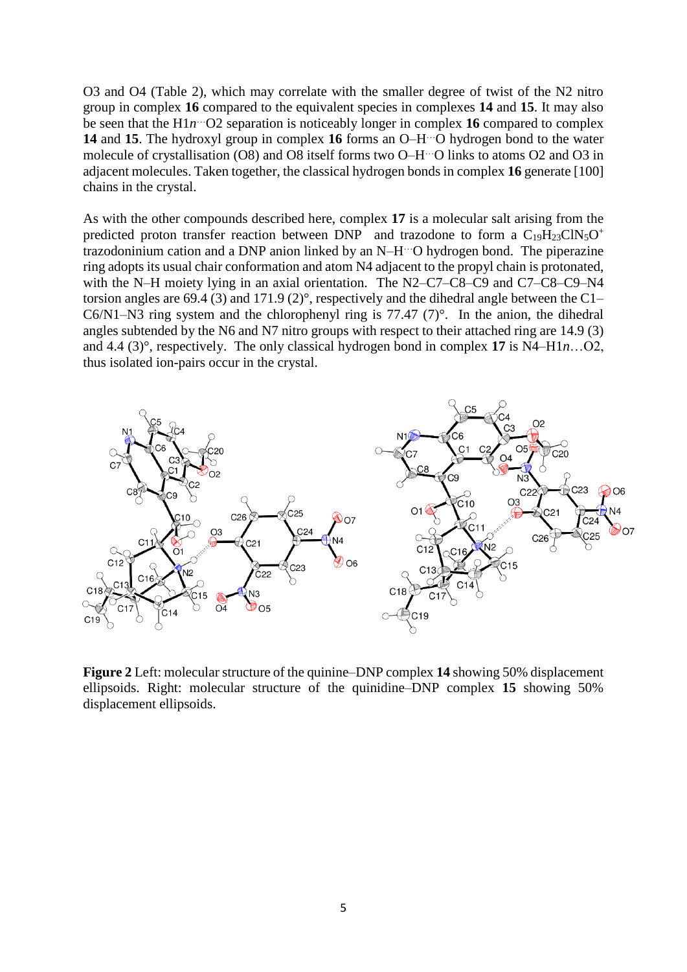O3 and O4 (Table 2), which may correlate with the smaller degree of twist of the N2 nitro group in complex **16** compared to the equivalent species in complexes **14** and **15**. It may also be seen that the H1*n* …O2 separation is noticeably longer in complex **16** compared to complex **14** and **15**. The hydroxyl group in complex **16** forms an O–H …O hydrogen bond to the water molecule of crystallisation (O8) and O8 itself forms two O–H …O links to atoms O2 and O3 in adjacent molecules. Taken together, the classical hydrogen bonds in complex **16** generate [100] chains in the crystal.

As with the other compounds described here, complex **17** is a molecular salt arising from the predicted proton transfer reaction between DNP and trazodone to form a  $C_{19}H_{23}CIN_5O^+$ trazodoninium cation and a DNP anion linked by an N–H …O hydrogen bond. The piperazine ring adopts its usual chair conformation and atom N4 adjacent to the propyl chain is protonated, with the N–H moiety lying in an axial orientation. The N2–C7–C8–C9 and C7–C8–C9–N4 torsion angles are 69.4 (3) and 171.9 (2)°, respectively and the dihedral angle between the C1– C6/N1–N3 ring system and the chlorophenyl ring is  $77.47$  (7)°. In the anion, the dihedral angles subtended by the N6 and N7 nitro groups with respect to their attached ring are 14.9 (3) and 4.4 (3)°, respectively. The only classical hydrogen bond in complex **17** is N4–H1*n*…O2, thus isolated ion-pairs occur in the crystal.



**Figure 2** Left: molecular structure of the quinine–DNP complex **14** showing 50% displacement ellipsoids. Right: molecular structure of the quinidine–DNP complex **15** showing 50% displacement ellipsoids.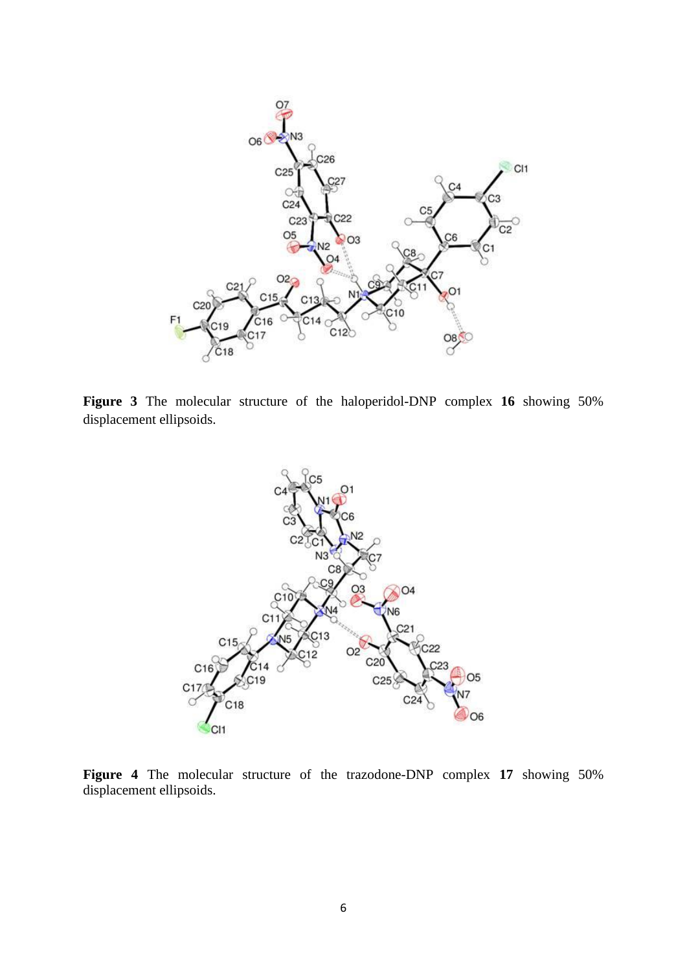

**Figure 3** The molecular structure of the haloperidol-DNP complex **16** showing 50% displacement ellipsoids.



**Figure 4** The molecular structure of the trazodone-DNP complex **17** showing 50% displacement ellipsoids.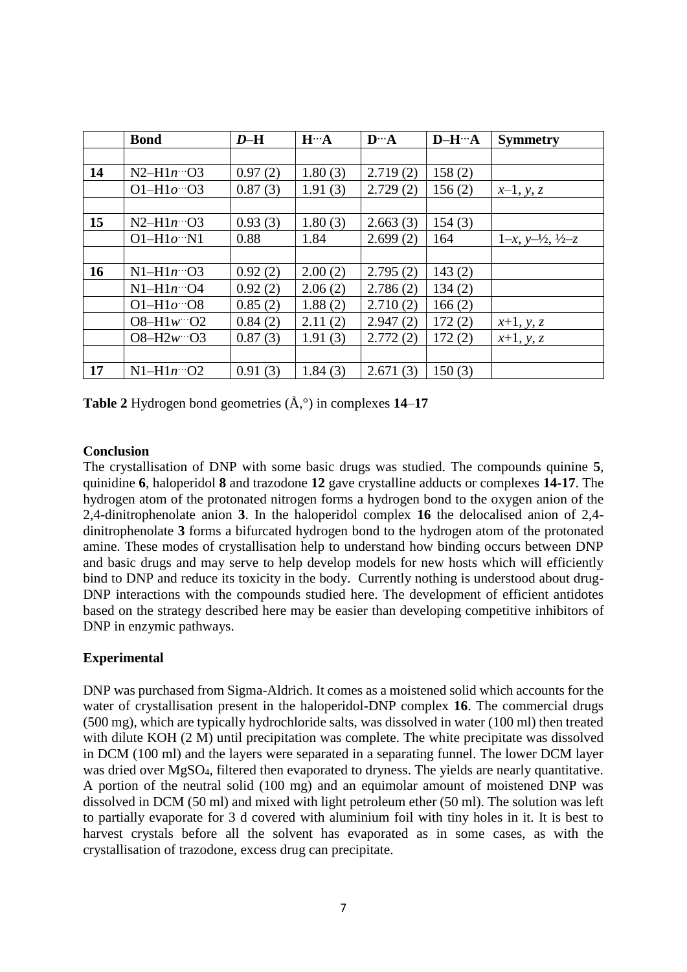|           | <b>Bond</b>                                 | $D-H$   | $H^{\cdots}A$ | $\mathbf{D}^{\ldots} \mathbf{A}$ | $D-H''`A$ | <b>Symmetry</b>                      |
|-----------|---------------------------------------------|---------|---------------|----------------------------------|-----------|--------------------------------------|
|           |                                             |         |               |                                  |           |                                      |
| 14        | $N2-H1n\degree$ O3                          | 0.97(2) | 1.80(3)       | 2.719(2)                         | 158(2)    |                                      |
|           | $O1 - H1o - O3$                             | 0.87(3) | 1.91(3)       | 2.729(2)                         | 156(2)    | $x-1$ , y, z                         |
|           |                                             |         |               |                                  |           |                                      |
| 15        | $N2-H1n\cdots$ O3                           | 0.93(3) | 1.80(3)       | 2.663(3)                         | 154(3)    |                                      |
|           | $O1-H1o''N1$                                | 0.88    | 1.84          | 2.699(2)                         | 164       | $1-x, y=-\frac{1}{2}, \frac{1}{2}-z$ |
|           |                                             |         |               |                                  |           |                                      |
| <b>16</b> | $N1-H1n\degree$ O3                          | 0.92(2) | 2.00(2)       | 2.795(2)                         | 143(2)    |                                      |
|           | $N1-H1n\degree 04$                          | 0.92(2) | 2.06(2)       | 2.786(2)                         | 134(2)    |                                      |
|           | O1-H $1o$ <sup><math>\cdots</math></sup> O8 | 0.85(2) | 1.88(2)       | 2.710(2)                         | 166(2)    |                                      |
|           | $O8-H1w$ $O2$                               | 0.84(2) | 2.11(2)       | 2.947(2)                         | 172(2)    | $x+1, y, z$                          |
|           | $O8 - H2w - O3$                             | 0.87(3) | 1.91(3)       | 2.772(2)                         | 172(2)    | $x+1, y, z$                          |
|           |                                             |         |               |                                  |           |                                      |
| 17        | $N1-H1n\cdots$ O2                           | 0.91(3) | 1.84(3)       | 2.671(3)                         | 150(3)    |                                      |

**Table 2** Hydrogen bond geometries (Å,°) in complexes **14**–**17**

## **Conclusion**

The crystallisation of DNP with some basic drugs was studied. The compounds quinine **5**, quinidine **6**, haloperidol **8** and trazodone **12** gave crystalline adducts or complexes **14-17**. The hydrogen atom of the protonated nitrogen forms a hydrogen bond to the oxygen anion of the 2,4-dinitrophenolate anion **3**. In the haloperidol complex **16** the delocalised anion of 2,4 dinitrophenolate **3** forms a bifurcated hydrogen bond to the hydrogen atom of the protonated amine. These modes of crystallisation help to understand how binding occurs between DNP and basic drugs and may serve to help develop models for new hosts which will efficiently bind to DNP and reduce its toxicity in the body. Currently nothing is understood about drug-DNP interactions with the compounds studied here. The development of efficient antidotes based on the strategy described here may be easier than developing competitive inhibitors of DNP in enzymic pathways.

# **Experimental**

DNP was purchased from Sigma-Aldrich. It comes as a moistened solid which accounts for the water of crystallisation present in the haloperidol-DNP complex **16**. The commercial drugs (500 mg), which are typically hydrochloride salts, was dissolved in water (100 ml) then treated with dilute KOH (2 M) until precipitation was complete. The white precipitate was dissolved in DCM (100 ml) and the layers were separated in a separating funnel. The lower DCM layer was dried over MgSO<sub>4</sub>, filtered then evaporated to dryness. The yields are nearly quantitative. A portion of the neutral solid (100 mg) and an equimolar amount of moistened DNP was dissolved in DCM (50 ml) and mixed with light petroleum ether (50 ml). The solution was left to partially evaporate for 3 d covered with aluminium foil with tiny holes in it. It is best to harvest crystals before all the solvent has evaporated as in some cases, as with the crystallisation of trazodone, excess drug can precipitate.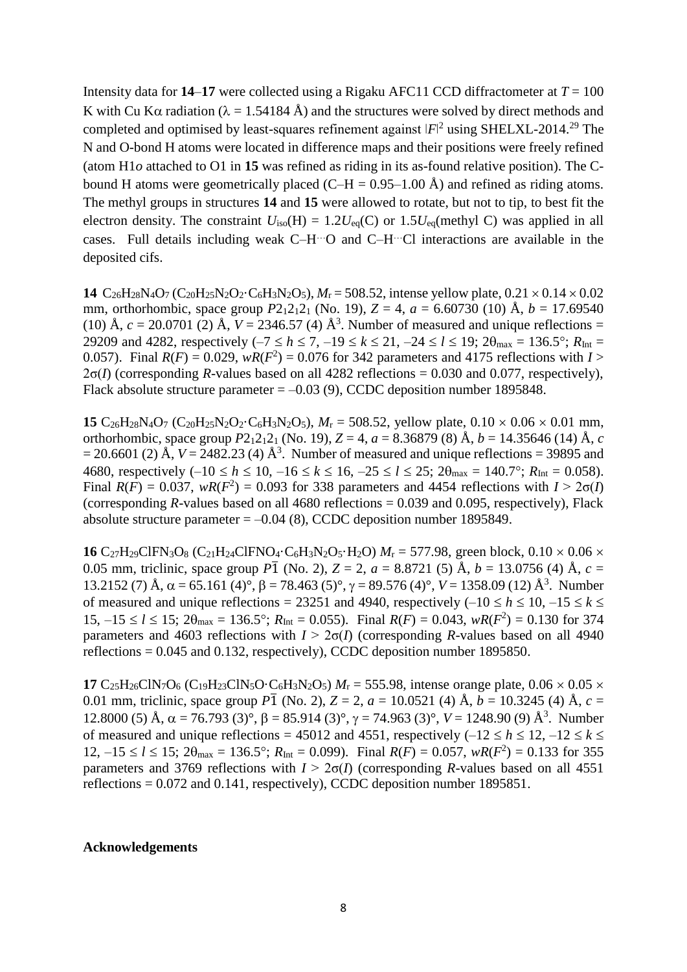Intensity data for **14–17** were collected using a Rigaku AFC11 CCD diffractometer at  $T = 100$ K with Cu K $\alpha$  radiation ( $\lambda = 1.54184$  Å) and the structures were solved by direct methods and completed and optimised by least-squares refinement against  $|F|^2$  using SHELXL-2014.<sup>29</sup> The N and O-bond H atoms were located in difference maps and their positions were freely refined (atom H1*o* attached to O1 in **15** was refined as riding in its as-found relative position). The Cbound H atoms were geometrically placed  $(C-H = 0.95-1.00 \text{ Å})$  and refined as riding atoms. The methyl groups in structures **14** and **15** were allowed to rotate, but not to tip, to best fit the electron density. The constraint  $U_{iso}(H) = 1.2U_{eq}(C)$  or  $1.5U_{eq}(methyl C)$  was applied in all cases. Full details including weak C–H …O and C–H …Cl interactions are available in the deposited cifs.

**14**  $C_{26}H_{28}N_4O_7$  ( $C_{20}H_{25}N_2O_2$ · $C_6H_3N_2O_5$ ),  $M_r = 508.52$ , intense yellow plate,  $0.21 \times 0.14 \times 0.02$ mm, orthorhombic, space group  $P2_12_12_1$  (No. 19),  $Z = 4$ ,  $a = 6.60730$  (10) Å,  $b = 17.69540$ (10) Å,  $c = 20.0701$  (2) Å,  $V = 2346.57$  (4) Å<sup>3</sup>. Number of measured and unique reflections = 29209 and 4282, respectively  $(-7 \le h \le 7, -19 \le k \le 21, -24 \le l \le 19$ ;  $2\theta_{\text{max}} = 136.5^{\circ}$ ;  $R_{\text{Int}} =$ 0.057). Final  $R(F) = 0.029$ ,  $wR(F^2) = 0.076$  for 342 parameters and 4175 reflections with *I* >  $2\sigma(I)$  (corresponding *R*-values based on all 4282 reflections = 0.030 and 0.077, respectively), Flack absolute structure parameter  $= -0.03$  (9), CCDC deposition number 1895848.

**15**  $C_{26}H_{28}N_4O_7$  ( $C_{20}H_{25}N_2O_2$  $\cdot$  $C_6H_3N_2O_5$ ),  $M_r = 508.52$ , yellow plate,  $0.10 \times 0.06 \times 0.01$  mm, orthorhombic, space group  $P2_12_12_1$  (No. 19),  $Z = 4$ ,  $a = 8.36879$  (8) Å,  $b = 14.35646$  (14) Å, *c*  $= 20.6601$  (2) Å,  $V = 2482.23$  (4) Å<sup>3</sup>. Number of measured and unique reflections = 39895 and 4680, respectively  $(-10 \le h \le 10, -16 \le k \le 16, -25 \le l \le 25; 2\theta_{\text{max}} = 140.7^{\circ}; R_{\text{Int}} = 0.058$ ). Final  $R(F) = 0.037$ ,  $wR(F^2) = 0.093$  for 338 parameters and 4454 reflections with  $I > 2\sigma(I)$ (corresponding *R*-values based on all 4680 reflections  $= 0.039$  and 0.095, respectively), Flack absolute structure parameter  $= -0.04$  (8), CCDC deposition number 1895849.

**16** C<sub>27</sub>H<sub>29</sub>ClFN<sub>3</sub>O<sub>8</sub> (C<sub>21</sub>H<sub>24</sub>ClFNO<sub>4</sub>·C<sub>6</sub>H<sub>3</sub>N<sub>2</sub>O<sub>5</sub>·H<sub>2</sub>O)  $M_r = 577.98$ , green block, 0.10  $\times$  0.06  $\times$ 0.05 mm, triclinic, space group  $P\overline{1}$  (No. 2),  $Z = 2$ ,  $a = 8.8721$  (5) Å,  $b = 13.0756$  (4) Å,  $c =$ 13.2152 (7) Å,  $\alpha$  = 65.161 (4)°,  $\beta$  = 78.463 (5)°,  $\gamma$  = 89.576 (4)°,  $V = 1358.09$  (12) Å<sup>3</sup>. Number of measured and unique reflections = 23251 and 4940, respectively  $(-10 \le h \le 10, -15 \le k \le$  $15, -15 \le l \le 15$ ;  $2\theta_{\text{max}} = 136.5^{\circ}$ ;  $R_{\text{Int}} = 0.055$ ). Final  $R(F) = 0.043$ ,  $wR(F^2) = 0.130$  for 374 parameters and 4603 reflections with  $I > 2\sigma(I)$  (corresponding *R*-values based on all 4940 reflections  $= 0.045$  and 0.132, respectively), CCDC deposition number 1895850.

**17** C<sub>25</sub>H<sub>26</sub>ClN<sub>7</sub>O<sub>6</sub> (C<sub>19</sub>H<sub>23</sub>ClN<sub>5</sub>O·C<sub>6</sub>H<sub>3</sub>N<sub>2</sub>O<sub>5</sub>)  $M_r = 555.98$ , intense orange plate, 0.06  $\times$  0.05  $\times$ 0.01 mm, triclinic, space group  $P\overline{1}$  (No. 2),  $Z = 2$ ,  $a = 10.0521$  (4) Å,  $b = 10.3245$  (4) Å,  $c =$ 12.8000 (5) Å,  $\alpha$  = 76.793 (3)°,  $\beta$  = 85.914 (3)°,  $\gamma$  = 74.963 (3)°,  $V = 1248.90$  (9) Å<sup>3</sup>. Number of measured and unique reflections = 45012 and 4551, respectively  $(-12 \le h \le 12, -12 \le k \le$  $12, -15 \le l \le 15$ ;  $2\theta_{\text{max}} = 136.5^{\circ}$ ;  $R_{\text{Int}} = 0.099$ ). Final  $R(F) = 0.057$ ,  $wR(F^2) = 0.133$  for 355 parameters and 3769 reflections with  $I > 2\sigma(I)$  (corresponding *R*-values based on all 4551 reflections  $= 0.072$  and 0.141, respectively), CCDC deposition number 1895851.

#### **Acknowledgements**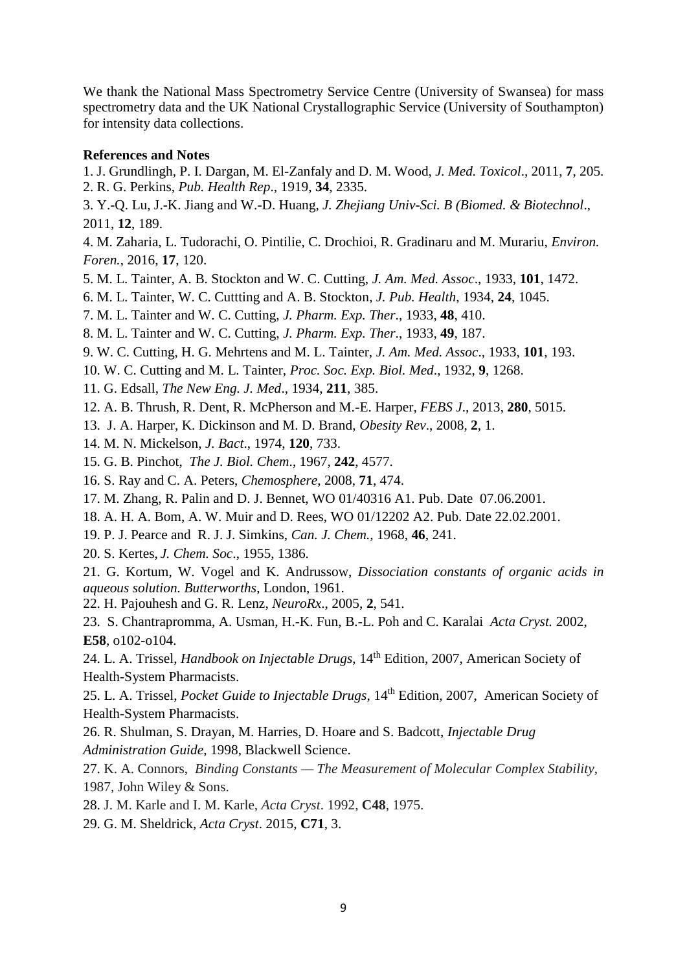We thank the National Mass Spectrometry Service Centre (University of Swansea) for mass spectrometry data and the UK National Crystallographic Service (University of Southampton) for intensity data collections.

#### **References and Notes**

- 1. J. Grundlingh, P. I. Dargan, M. El-Zanfaly and D. M. Wood, *J. Med. Toxicol*., 2011, **7**, 205. 2. R. G. Perkins, *Pub. Health Rep*., 1919, **34**, 2335.
- 3. Y.-Q. Lu, J.-K. Jiang and W.-D. Huang, *J. Zhejiang Univ-Sci. B (Biomed. & Biotechnol*., 2011, **12**, 189.
- 4. M. Zaharia, L. Tudorachi, O. Pintilie, C. Drochioi, R. Gradinaru and M. Murariu, *Environ. Foren.*, 2016, **17**, 120.
- 5. M. L. Tainter, A. B. Stockton and W. C. Cutting, *J. Am. Med. Assoc*., 1933, **101**, 1472.
- 6. M. L. Tainter, W. C. Cuttting and A. B. Stockton, *J. Pub. Health*, 1934, **24**, 1045.
- 7. M. L. Tainter and W. C. Cutting, *J. Pharm. Exp. Ther*., 1933, **48**, 410.
- 8. M. L. Tainter and W. C. Cutting, *J. Pharm. Exp. Ther*., 1933, **49**, 187.
- 9. W. C. Cutting, H. G. Mehrtens and M. L. Tainter, *J. Am. Med. Assoc*., 1933, **101**, 193.
- 10. W. C. Cutting and M. L. Tainter, *Proc. Soc. Exp. Biol. Med*., 1932, **9**, 1268.
- 11. G. Edsall, *The New Eng. J. Med*., 1934, **211**, 385.
- 12. A. B. Thrush, R. Dent, R. McPherson and M.-E. Harper, *FEBS J*., 2013, **280**, 5015.
- 13. J. A. Harper, K. Dickinson and M. D. Brand, *Obesity Rev*., 2008, **2**, 1.
- 14. M. N. Mickelson, *J. Bact*., 1974, **120**, 733.
- 15. G. B. Pinchot, *The J. Biol. Chem*., 1967, **242**, 4577.
- 16. S. Ray and C. A. Peters, *Chemosphere*, 2008, **71**, 474.
- 17. M. Zhang, R. Palin and D. J. Bennet, WO 01/40316 A1. Pub. Date 07.06.2001.
- 18. A. H. A. Bom, A. W. Muir and D. Rees, WO 01/12202 A2. Pub. Date 22.02.2001.
- 19. P. J. Pearce and R. J. J. Simkins, *Can. J. Chem.,* 1968, **46**, 241.
- 20. S. Kertes, *J. Chem. Soc*., 1955, 1386.
- 21. G. Kortum, W. Vogel and K. Andrussow, *Dissociation constants of organic acids in aqueous solution. Butterworths*, London, 1961.
- 22. H. Pajouhesh and G. R. Lenz, *NeuroRx*., 2005, **2**, 541.
- 23. S. Chantrapromma, A. Usman, H.-K. Fun, B.-L. Poh and C. Karalai *Acta Cryst.* 2002, **E58**, o102-o104.
- 24. L. A. Trissel, *Handbook on Injectable Drugs*, 14th Edition, 2007, American Society of Health-System Pharmacists.
- 25. L. A. Trissel, *Pocket Guide to Injectable Drugs*, 14<sup>th</sup> Edition, 2007, American Society of Health-System Pharmacists.
- 26. R. Shulman, S. Drayan, M. Harries, D. Hoare and S. Badcott, *Injectable Drug Administration Guide*, 1998, Blackwell Science.
- 27. K. A. Connors, *Binding Constants — The Measurement of Molecular Complex Stability*, 1987, John Wiley & Sons.
- 28. J. M. Karle and I. M. Karle, *Acta Cryst*. 1992, **C48**, 1975.
- 29. G. M. Sheldrick, *Acta Cryst*. 2015, **C71**, 3.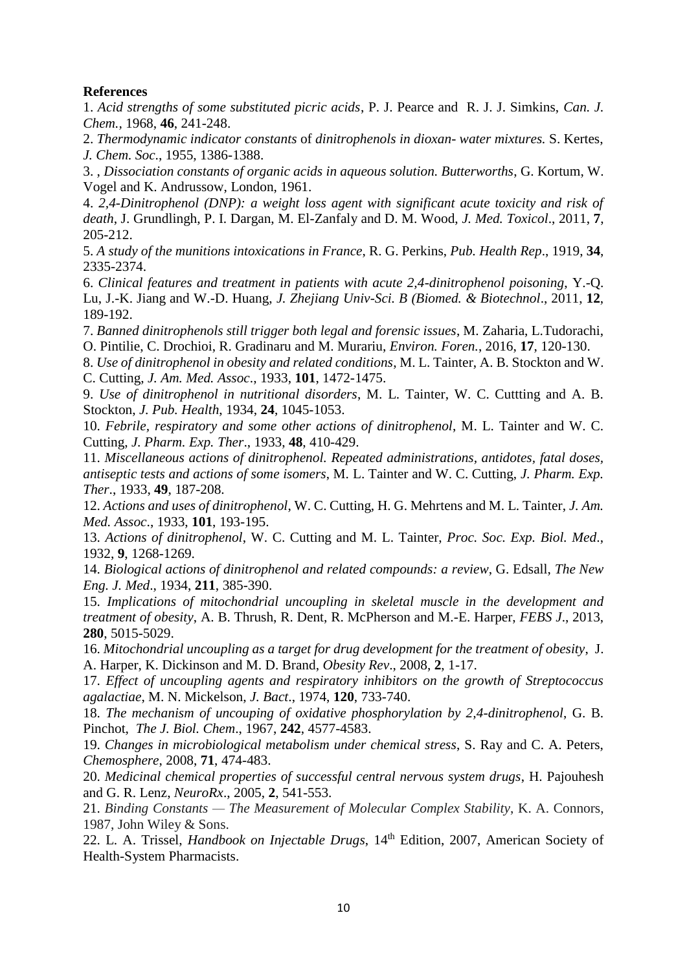## **References**

1. *Acid strengths of some substituted picric acids*, P. J. Pearce and R. J. J. Simkins, *Can. J. Chem.,* 1968, **46**, 241-248.

2. *Thermodynamic indicator constants* of *dinitrophenols in dioxan- water mixtures.* S. Kertes, *J. Chem. Soc*., 1955, 1386-1388.

3. , *Dissociation constants of organic acids in aqueous solution. Butterworths*, G. Kortum, W. Vogel and K. Andrussow, London, 1961.

4. *2,4-Dinitrophenol (DNP): a weight loss agent with significant acute toxicity and risk of death*, J. Grundlingh, P. I. Dargan, M. El-Zanfaly and D. M. Wood, *J. Med. Toxicol*., 2011, **7**, 205-212.

5. *A study of the munitions intoxications in France*, R. G. Perkins, *Pub. Health Rep*., 1919, **34**, 2335-2374.

6. *Clinical features and treatment in patients with acute 2,4-dinitrophenol poisoning*, Y.-Q. Lu, J.-K. Jiang and W.-D. Huang, *J. Zhejiang Univ-Sci. B (Biomed. & Biotechnol*., 2011, **12**, 189-192.

7. *Banned dinitrophenols still trigger both legal and forensic issues*, M. Zaharia, L.Tudorachi, O. Pintilie, C. Drochioi, R. Gradinaru and M. Murariu, *Environ. Foren.*, 2016, **17**, 120-130.

8. *Use of dinitrophenol in obesity and related conditions*, M. L. Tainter, A. B. Stockton and W. C. Cutting, *J. Am. Med. Assoc*., 1933, **101**, 1472-1475.

9. *Use of dinitrophenol in nutritional disorders*, M. L. Tainter, W. C. Cuttting and A. B. Stockton, *J. Pub. Health*, 1934, **24**, 1045-1053.

10. *Febrile, respiratory and some other actions of dinitrophenol*, M. L. Tainter and W. C. Cutting, *J. Pharm. Exp. Ther*., 1933, **48**, 410-429.

11. *Miscellaneous actions of dinitrophenol. Repeated administrations, antidotes, fatal doses, antiseptic tests and actions of some isomers*, M. L. Tainter and W. C. Cutting, *J. Pharm. Exp. Ther*., 1933, **49**, 187-208.

12. *Actions and uses of dinitrophenol*, W. C. Cutting, H. G. Mehrtens and M. L. Tainter, *J. Am. Med. Assoc*., 1933, **101**, 193-195.

13. *Actions of dinitrophenol*, W. C. Cutting and M. L. Tainter, *Proc. Soc. Exp. Biol. Med*., 1932, **9**, 1268-1269.

14. *Biological actions of dinitrophenol and related compounds: a review*, G. Edsall, *The New Eng. J. Med*., 1934, **211**, 385-390.

15. *Implications of mitochondrial uncoupling in skeletal muscle in the development and treatment of obesity*, A. B. Thrush, R. Dent, R. McPherson and M.-E. Harper, *FEBS J*., 2013, **280**, 5015-5029.

16. *Mitochondrial uncoupling as a target for drug development for the treatment of obesity*, J. A. Harper, K. Dickinson and M. D. Brand, *Obesity Rev*., 2008, **2**, 1-17.

17. *Effect of uncoupling agents and respiratory inhibitors on the growth of Streptococcus agalactiae*, M. N. Mickelson, *J. Bact*., 1974, **120**, 733-740.

18. *The mechanism of uncouping of oxidative phosphorylation by 2,4-dinitrophenol*, G. B. Pinchot, *The J. Biol. Chem*., 1967, **242**, 4577-4583.

19. *Changes in microbiological metabolism under chemical stress*, S. Ray and C. A. Peters, *Chemosphere*, 2008, **71**, 474-483.

20. *Medicinal chemical properties of successful central nervous system drugs*, H. Pajouhesh and G. R. Lenz, *NeuroRx*., 2005, **2**, 541-553.

21. *Binding Constants — The Measurement of Molecular Complex Stability*, K. A. Connors, 1987, John Wiley & Sons.

22. L. A. Trissel, *Handbook on Injectable Drugs*, 14th Edition, 2007, American Society of Health-System Pharmacists.